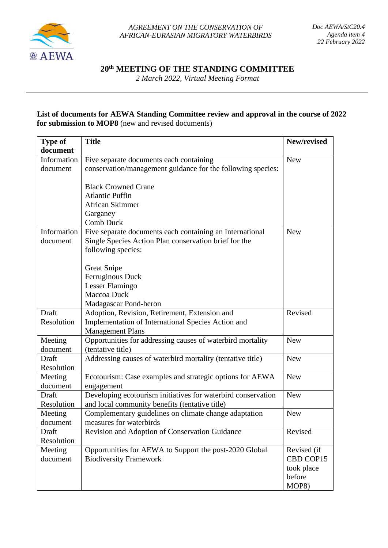

*AGREEMENT ON THE CONSERVATION OF AFRICAN-EURASIAN MIGRATORY WATERBIRDS*

**20th MEETING OF THE STANDING COMMITTEE**

*2 March 2022, Virtual Meeting Format*

## **List of documents for AEWA Standing Committee review and approval in the course of 2022 for submission to MOP8** (new and revised documents)

| <b>Type of</b> | <b>Title</b>                                                 | New/revised |
|----------------|--------------------------------------------------------------|-------------|
| document       |                                                              |             |
| Information    | Five separate documents each containing                      | <b>New</b>  |
| document       | conservation/management guidance for the following species:  |             |
|                | <b>Black Crowned Crane</b>                                   |             |
|                | <b>Atlantic Puffin</b>                                       |             |
|                | African Skimmer                                              |             |
|                | Garganey                                                     |             |
|                | Comb Duck                                                    |             |
| Information    | Five separate documents each containing an International     | <b>New</b>  |
| document       | Single Species Action Plan conservation brief for the        |             |
|                | following species:                                           |             |
|                |                                                              |             |
|                | <b>Great Snipe</b>                                           |             |
|                | Ferruginous Duck                                             |             |
|                | Lesser Flamingo                                              |             |
|                | Maccoa Duck                                                  |             |
|                | Madagascar Pond-heron                                        |             |
| Draft          | Adoption, Revision, Retirement, Extension and                | Revised     |
| Resolution     | Implementation of International Species Action and           |             |
|                | <b>Management Plans</b>                                      |             |
| Meeting        | Opportunities for addressing causes of waterbird mortality   | <b>New</b>  |
| document       | (tentative title)                                            |             |
| Draft          | Addressing causes of waterbird mortality (tentative title)   | <b>New</b>  |
| Resolution     |                                                              |             |
| Meeting        | Ecotourism: Case examples and strategic options for AEWA     | <b>New</b>  |
| document       | engagement                                                   |             |
| Draft          | Developing ecotourism initiatives for waterbird conservation | <b>New</b>  |
| Resolution     | and local community benefits (tentative title)               |             |
| Meeting        | Complementary guidelines on climate change adaptation        | <b>New</b>  |
| document       | measures for waterbirds                                      |             |
| Draft          | Revision and Adoption of Conservation Guidance               | Revised     |
| Resolution     |                                                              |             |
| Meeting        | Opportunities for AEWA to Support the post-2020 Global       | Revised (if |
| document       | <b>Biodiversity Framework</b>                                | CBD COP15   |
|                |                                                              | took place  |
|                |                                                              | before      |
|                |                                                              | MOP8)       |